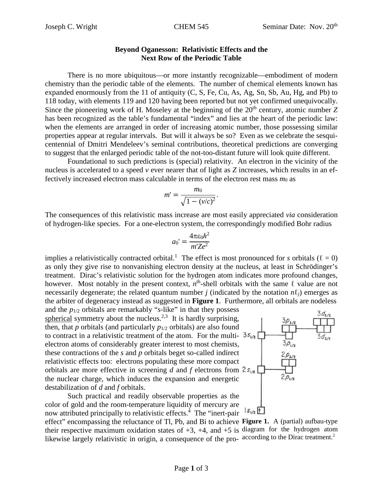## **Beyond Oganesson: Relativistic Effects and the Next Row of the Periodic Table**

There is no more ubiquitous—or more instantly recognizable—embodiment of modern chemistry than the periodic table of the elements. The number of chemical elements known has expanded enormously from the 11 of antiquity (C, S, Fe, Cu, As, Ag, Sn, Sb, Au, Hg, and Pb) to 118 today, with elements 119 and 120 having been reported but not yet confirmed unequivocally. Since the pioneering work of H. Moseley at the beginning of the  $20<sup>th</sup>$  century, atomic number  $Z$ has been recognized as the table's fundamental "index" and lies at the heart of the periodic law: when the elements are arranged in order of increasing atomic number, those possessing similar properties appear at regular intervals. But will it always be so? Even as we celebrate the sesquicentennial of Dmitri Mendeleev's seminal contributions, theoretical predictions are converging to suggest that the enlarged periodic table of the not-too-distant future will look quite different.

Foundational to such predictions is (special) relativity. An electron in the vicinity of the nucleus is accelerated to a speed *v* ever nearer that of light as *Z* increases, which results in an effectively increased electron mass calculable in terms of the electron rest mass  $m_0$  as

$$
m'=\frac{m_0}{\sqrt{1-(v/c)^2}}.
$$

The consequences of this relativistic mass increase are most easily appreciated *via* consideration of hydrogen-like species. For a one-electron system, the correspondingly modified Bohr radius

$$
a_0' = \frac{4\pi\varepsilon_0\hbar^2}{m'Ze^2}
$$

implies a relativistically contracted orbital.<sup>1</sup> The effect is most pronounced for *s* orbitals ( $\ell = 0$ ) as only they give rise to nonvanishing electron density at the nucleus, at least in Schrödinger's treatment. Dirac's relativistic solution for the hydrogen atom indicates more profound changes, however. Most notably in the present context,  $n<sup>th</sup>$ -shell orbitals with the same  $\ell$  value are not necessarily degenerate; the related quantum number *j* (indicated by the notation  $n\ell$ *j*) emerges as the arbiter of degeneracy instead as suggested in **Figure 1**. Furthermore, all orbitals are nodeless

and the  $p_{1/2}$  orbitals are remarkably " $s$ -like" in that they possess spherical symmetry about the nucleus.<sup>2,3</sup> It is hardly surprising, then, that  $p$  orbitals (and particularly  $p_{1/2}$  orbitals) are also found to contract in a relativistic treatment of the atom. For the multi-  $3s_{1/2}$ electron atoms of considerably greater interest to most chemists, these contractions of the *s* and *p* orbitals beget so-called indirect relativistic effects too: electrons populating these more compact orbitals are more effective in screening *d* and *f* electrons from  $2s_{1/2}$ the nuclear charge, which induces the expansion and energetic destabilization of *d* and *f* orbitals.

Such practical and readily observable properties as the color of gold and the room-temperature liquidity of mercury are now attributed principally to relativistic effects. 4 The "inert-pair



effect" encompassing the reluctance of Tl, Pb, and Bi to achieve **Figure 1.** A (partial) aufbau-type their respective maximum oxidation states of  $+3$ ,  $+4$ , and  $+5$  is diagram for the hydrogen atom likewise largely relativistic in origin, a consequence of the pro- according to the Dirac treatment.<sup>2</sup>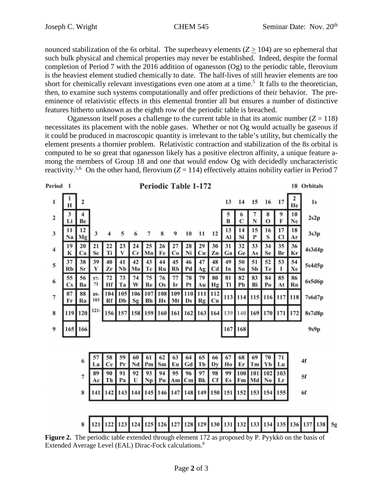nounced stabilization of the 6*s* orbital. The superheavy elements  $(Z > 104)$  are so ephemeral that such bulk physical and chemical properties may never be established. Indeed, despite the formal completion of Period 7 with the 2016 addition of oganesson (Og) to the periodic table, flerovium is the heaviest element studied chemically to date. The half-lives of still heavier elements are too short for chemically relevant investigations even one atom at a time.<sup>5</sup> It falls to the theoretician, then, to examine such systems computationally and offer predictions of their behavior. The preeminence of relativistic effects in this elemental frontier all but ensures a number of distinctive features hitherto unknown as the eighth row of the periodic table is breached.

Oganesson itself poses a challenge to the current table in that its atomic number  $(Z = 118)$ necessitates its placement with the noble gases. Whether or not Og would actually be gaseous if it could be produced in macroscopic quantity is irrelevant to the table's utility, but chemically the element presents a thornier problem. Relativistic contraction and stabilization of the 8*s* orbital is computed to be so great that oganesson likely has a positive electron affinity, a unique feature among the members of Group 18 and one that would endow Og with decidedly uncharacteristic reactivity.<sup>5,6</sup> On the other hand, flerovium ( $Z = 114$ ) effectively attains nobility earlier in Period 7

| Period                  | - 1      |                         |             | <b>Periodic Table 1-172</b> |           |                   |           |           |           |                     |           |             |          |                  |              |               |             |                        | 18 Orbitals                                                                                               |  |
|-------------------------|----------|-------------------------|-------------|-----------------------------|-----------|-------------------|-----------|-----------|-----------|---------------------|-----------|-------------|----------|------------------|--------------|---------------|-------------|------------------------|-----------------------------------------------------------------------------------------------------------|--|
| 1                       | 1<br>Н   | $\overline{\mathbf{c}}$ |             |                             |           |                   |           |           |           |                     |           |             | 13       | 14               | 15           | 16            | 17          | $\boldsymbol{2}$<br>He | 1s                                                                                                        |  |
| $\mathbf 2$             | 3<br>Li  | 4<br>Be                 |             |                             |           |                   |           |           |           |                     |           |             | 5<br>B   | 6<br>$\mathbf C$ | 7<br>N       | 8<br>$\Omega$ | 9<br>F      | 10<br>Ne               | 2s2p                                                                                                      |  |
| 3                       | 11<br>Na | 12<br>Mg                | 3           | 4                           | 5         | 6                 | 7         | 8         | 9         | 10                  | 11        | 12          | 13<br>Al | 14<br>Si         | 15<br>P      | 16<br>S       | 17<br>Cl    | 18<br>Ar               | 3s3p                                                                                                      |  |
| $\overline{\mathbf{4}}$ | 19<br>K  | 20<br>Ca                | 21<br>Sc    | 22<br>Ti                    | 23<br>V   | 24<br>$_{\rm Cr}$ | 25<br>Mn  | 26<br>Fe  | 27<br>Co  | 28<br>Ni            | 29<br>Cu  | 30<br>Zn    | 31<br>Ga | 32<br>Ge         | 33<br>As     | 34<br>Se      | 35<br>Br    | 36<br>Kr               | 4s3d4p                                                                                                    |  |
| 5                       | 37<br>Rb | 38<br>Sr                | 39<br>Y     | 40<br>Zr                    | 41<br>Nb  | 42<br>Mo          | 43<br>Tc  | 44<br>Ru  | 45<br>Rh  | 46<br>Pd            | 47<br>Ag  | 48<br>Cd    | 49<br>In | 50<br>Sn         | 51<br>Sb     | 52<br>Te      | 53<br>I     | 54<br>Xe               | 5s4d5p                                                                                                    |  |
| 6                       | 55<br>Cs | 56<br>Ba                | $57-$<br>71 | 72<br>Hf                    | 73<br>Ta  | 74<br>W           | 75<br>Re  | 76<br>Os  | 77<br>Ir  | 78<br>Pt            | 79<br>Au  | 80<br>Hg    | 81<br>TI | 82<br>Pb         | 83<br>Bi     | 84<br>Po      | 85<br>At    | 86<br>Rn               | 6s5d6p                                                                                                    |  |
| 7                       | 87<br>Fr | 88<br>Ra                | 89-<br>103  | 104<br>Rf                   | 105<br>Db | 106<br>Sg         | 107<br>Bh | 108<br>Hs | 109<br>Mt | 110<br>Ds           | 111<br>Rg | 112<br>Cn   | 113      | 114              | 115          | 116           | 117         | 118                    | 7s6d7p                                                                                                    |  |
| 8                       |          | 119 120                 | $121 -$     | 156                         | 157       |                   | 158 159   |           | 160 161   | 162                 | 163       | 164         | 139      | 140              |              |               | 169 170 171 | 172                    | 8s7d8p                                                                                                    |  |
| 9                       |          | 165 166                 |             |                             |           |                   |           |           |           |                     | 167       | 168<br>9s9p |          |                  |              |               |             |                        |                                                                                                           |  |
|                         |          |                         |             |                             |           |                   |           |           |           |                     |           |             |          |                  |              |               |             |                        |                                                                                                           |  |
|                         |          | 6                       | 57<br>La    | 58<br>Ce                    | 59<br>Pr  | 60<br>Nd          | 61<br>Pm  | 62<br>Sm  | 63<br>Eu  | 64<br>Gd            | 65<br>Tb  | 66<br>Dy    | 67<br>Ho | 68<br>Er         | 69<br>Tm     | 70<br>Yb      | 71<br>Lu    | 4f                     |                                                                                                           |  |
| 7                       |          |                         | 89<br>Aс    | 90<br>Th                    | 91<br>Pa  | 92<br>U           | 93<br>Np  | 94<br>Pu  | 95<br>Am  | 96<br>$\mathbf{Cm}$ | 97<br>Bk  | 98<br>Cf    | 99<br>Es | 100              | 101<br>Fm Md | 102<br>No     | 103<br>Lr   | 5f                     |                                                                                                           |  |
| 8                       |          |                         | 141         | 142                         | 143       | 144               | 145       | 146       | 147       | 148                 | 149       | 150         | 151      | 152              | 153          | 154           | 155         | 6f                     |                                                                                                           |  |
|                         |          |                         |             |                             |           |                   |           |           |           |                     |           |             |          |                  |              |               |             |                        |                                                                                                           |  |
|                         |          | 8                       | 121         |                             |           |                   |           |           |           |                     |           |             |          |                  |              |               |             |                        | 122   123   124   125   126   127   128   129   130   131   132   133   134   135   136   137   138<br>5g |  |
|                         |          |                         |             |                             |           |                   |           |           |           |                     |           |             |          |                  |              |               |             |                        |                                                                                                           |  |

**Figure 2.** The periodic table extended through element 172 as proposed by P. Pyykkö on the basis of Extended Average Level (EAL) Dirac-Fock calculations.<sup>8</sup>